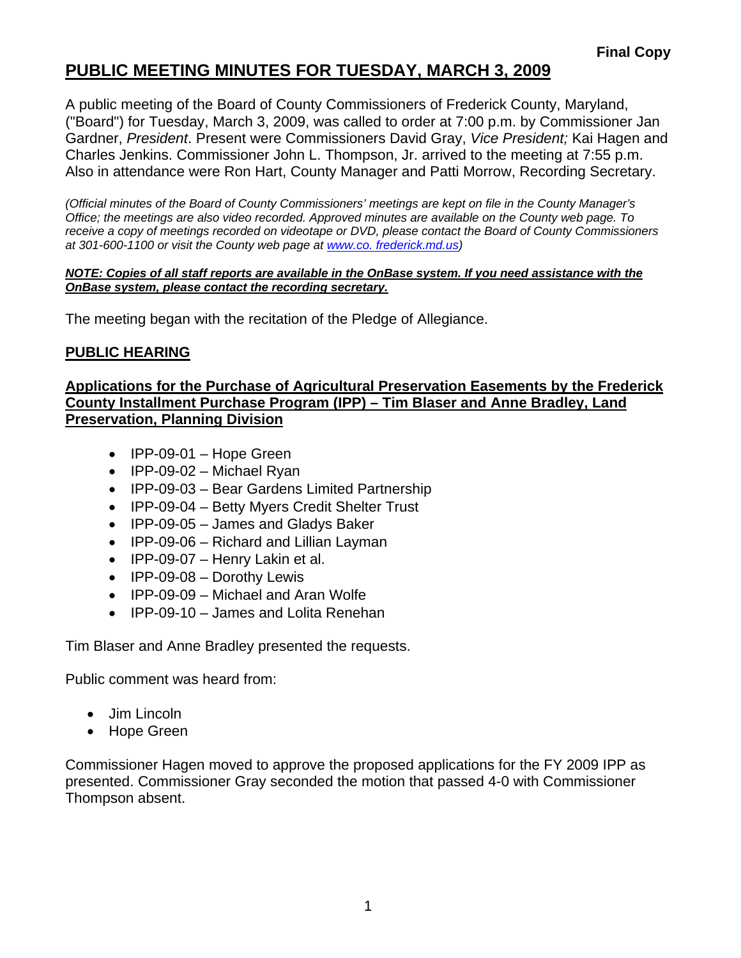# **PUBLIC MEETING MINUTES FOR TUESDAY, MARCH 3, 2009**

A public meeting of the Board of County Commissioners of Frederick County, Maryland, ("Board") for Tuesday, March 3, 2009, was called to order at 7:00 p.m. by Commissioner Jan Gardner, *President*. Present were Commissioners David Gray, *Vice President;* Kai Hagen and Charles Jenkins. Commissioner John L. Thompson, Jr. arrived to the meeting at 7:55 p.m. Also in attendance were Ron Hart, County Manager and Patti Morrow, Recording Secretary.

*(Official minutes of the Board of County Commissioners' meetings are kept on file in the County Manager's Office; the meetings are also video recorded. Approved minutes are available on the County web page. To receive a copy of meetings recorded on videotape or DVD, please contact the Board of County Commissioners at 301-600-1100 or visit the County web page at [www.co](http://www.co/). frederick.md.us)* 

#### *NOTE: Copies of all staff reports are available in the OnBase system. If you need assistance with the OnBase system, please contact the recording secretary.*

The meeting began with the recitation of the Pledge of Allegiance.

#### **PUBLIC HEARING**

#### **Applications for the Purchase of Agricultural Preservation Easements by the Frederick County Installment Purchase Program (IPP) – Tim Blaser and Anne Bradley, Land Preservation, Planning Division**

- IPP-09-01 Hope Green
- IPP-09-02 Michael Ryan
- IPP-09-03 Bear Gardens Limited Partnership
- IPP-09-04 Betty Myers Credit Shelter Trust
- IPP-09-05 James and Gladys Baker
- IPP-09-06 Richard and Lillian Layman
- IPP-09-07 Henry Lakin et al.
- IPP-09-08 Dorothy Lewis
- IPP-09-09 Michael and Aran Wolfe
- IPP-09-10 James and Lolita Renehan

Tim Blaser and Anne Bradley presented the requests.

Public comment was heard from:

- Jim Lincoln
- Hope Green

Commissioner Hagen moved to approve the proposed applications for the FY 2009 IPP as presented. Commissioner Gray seconded the motion that passed 4-0 with Commissioner Thompson absent.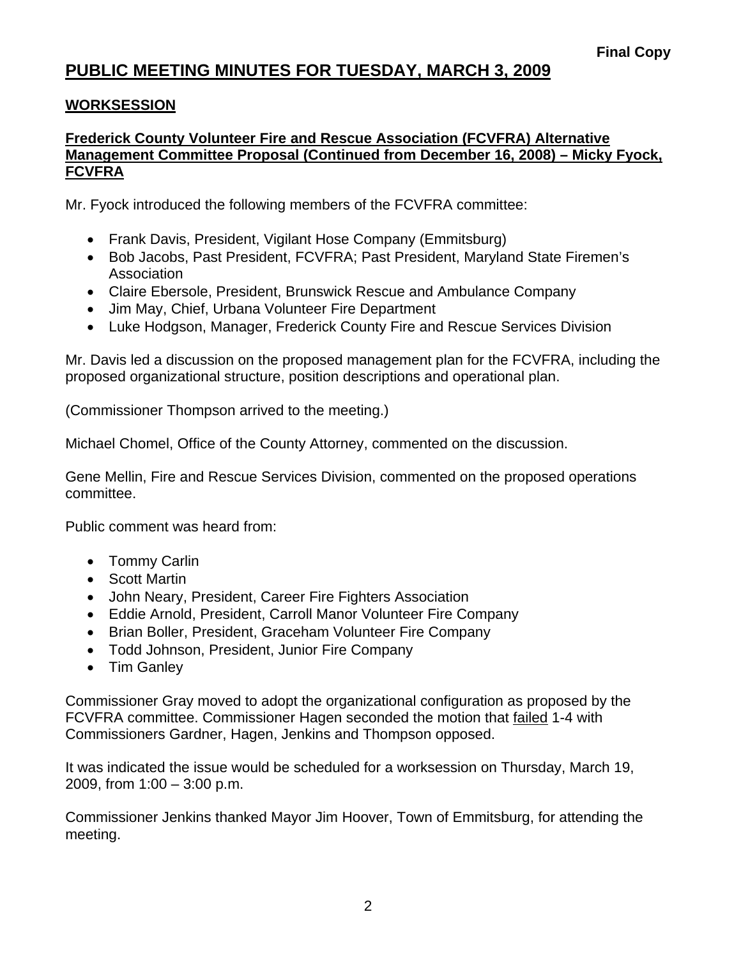## **PUBLIC MEETING MINUTES FOR TUESDAY, MARCH 3, 2009**

#### **WORKSESSION**

#### **Frederick County Volunteer Fire and Rescue Association (FCVFRA) Alternative Management Committee Proposal (Continued from December 16, 2008) – Micky Fyock, FCVFRA**

Mr. Fyock introduced the following members of the FCVFRA committee:

- Frank Davis, President, Vigilant Hose Company (Emmitsburg)
- Bob Jacobs, Past President, FCVFRA; Past President, Maryland State Firemen's Association
- Claire Ebersole, President, Brunswick Rescue and Ambulance Company
- Jim May, Chief, Urbana Volunteer Fire Department
- Luke Hodgson, Manager, Frederick County Fire and Rescue Services Division

Mr. Davis led a discussion on the proposed management plan for the FCVFRA, including the proposed organizational structure, position descriptions and operational plan.

(Commissioner Thompson arrived to the meeting.)

Michael Chomel, Office of the County Attorney, commented on the discussion.

Gene Mellin, Fire and Rescue Services Division, commented on the proposed operations committee.

Public comment was heard from:

- Tommy Carlin
- Scott Martin
- John Neary, President, Career Fire Fighters Association
- Eddie Arnold, President, Carroll Manor Volunteer Fire Company
- Brian Boller, President, Graceham Volunteer Fire Company
- Todd Johnson, President, Junior Fire Company
- Tim Ganley

Commissioner Gray moved to adopt the organizational configuration as proposed by the FCVFRA committee. Commissioner Hagen seconded the motion that failed 1-4 with Commissioners Gardner, Hagen, Jenkins and Thompson opposed.

It was indicated the issue would be scheduled for a worksession on Thursday, March 19, 2009, from 1:00 – 3:00 p.m.

Commissioner Jenkins thanked Mayor Jim Hoover, Town of Emmitsburg, for attending the meeting.